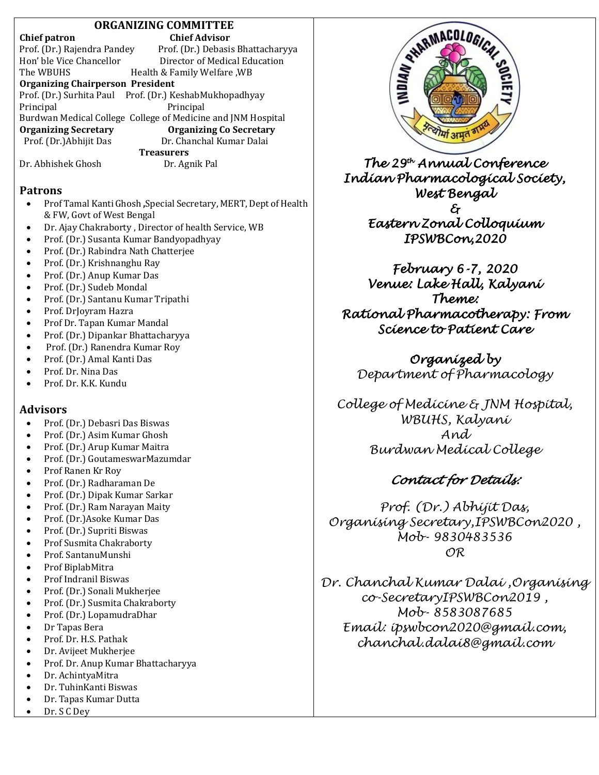## **ORGANIZING COMMITTEE**

#### **Chief patron Chief Advisor**

| Prof. (Dr.) Rajendra Pandey                                  | Prof. (Dr.) Debasis Bhattacharyya                       |  |  |  |
|--------------------------------------------------------------|---------------------------------------------------------|--|--|--|
| Hon' ble Vice Chancellor                                     | Director of Medical Education                           |  |  |  |
| The WBUHS                                                    | Health & Family Welfare, WB                             |  |  |  |
| <b>Organizing Chairperson President</b>                      |                                                         |  |  |  |
|                                                              | Prof. (Dr.) Surhita Paul Prof. (Dr.) KeshabMukhopadhyay |  |  |  |
| Principal                                                    | Principal                                               |  |  |  |
| Burdwan Medical College College of Medicine and JNM Hospital |                                                         |  |  |  |
| <b>Organizing Secretary</b>                                  | <b>Organizing Co Secretary</b>                          |  |  |  |
| Prof. (Dr.) Abhijit Das                                      | Dr. Chanchal Kumar Dalai                                |  |  |  |
| <b>Treasurers</b>                                            |                                                         |  |  |  |
| Dr. Abhishek Ghosh                                           | Dr. Agnik Pal                                           |  |  |  |

#### **Patrons**

- Prof Tamal Kanti Ghosh **,**Special Secretary, MERT, Dept of Health & FW, Govt of West Bengal
- Dr. Ajay Chakraborty , Director of health Service, WB
- Prof. (Dr.) Susanta Kumar Bandyopadhyay
- Prof. (Dr.) Rabindra Nath Chatterjee
- Prof. (Dr.) Krishnanghu Ray
- Prof. (Dr.) Anup Kumar Das
- Prof. (Dr.) Sudeb Mondal
- Prof. (Dr.) Santanu Kumar Tripathi
- Prof. DrJoyram Hazra
- Prof Dr. Tapan Kumar Mandal
- Prof. (Dr.) Dipankar Bhattacharyya
- Prof. (Dr.) Ranendra Kumar Roy
- Prof. (Dr.) Amal Kanti Das
- Prof. Dr. Nina Das
- Prof. Dr. K.K. Kundu

## **Advisors**

- Prof. (Dr.) Debasri Das Biswas
- Prof. (Dr.) Asim Kumar Ghosh
- Prof. (Dr.) Arup Kumar Maitra
- Prof. (Dr.) GoutameswarMazumdar
- Prof Ranen Kr Roy
- Prof. (Dr.) Radharaman De
- Prof. (Dr.) Dipak Kumar Sarkar
- Prof. (Dr.) Ram Narayan Maity
- Prof. (Dr.)Asoke Kumar Das
- Prof. (Dr.) Supriti Biswas
- Prof Susmita Chakraborty
- Prof. SantanuMunshi
- Prof BiplabMitra
- Prof Indranil Biswas
- Prof. (Dr.) Sonali Mukherjee
- Prof. (Dr.) Susmita Chakraborty
- Prof. (Dr.) LopamudraDhar
- Dr Tapas Bera
- Prof. Dr. H.S. Pathak
- Dr. Avijeet Mukherjee
- Prof. Dr. Anup Kumar Bhattacharyya
- Dr. AchintyaMitra
- Dr. TuhinKanti Biswas
- Dr. Tapas Kumar Dutta
- Dr. S C Dey



*The 29th Annual Conference Indian Pharmacological Society, West Bengal & Eastern Zonal Colloquium IPSWBCon,2020* 

*February 6-7, 2020 Venue: Lake Hall, Kalyani Theme: Rational Pharmacotherapy: From Science to Patient Care* 

*Organized by Department of Pharmacology*

*College of Medicine & JNM Hospital, WBUHS, Kalyani And Burdwan Medical College*

# *Contact for Details:*

*Prof. (Dr.) Abhijit Das, Organising Secretary,IPSWBCon2020 , Mob- 9830483536 OR*

*Dr. Chanchal Kumar Dalai ,Organising co-SecretaryIPSWBCon2019 , Mob- 8583087685 Email: ipswbcon2020@gmail.com, chanchal.dalai8@gmail.com*